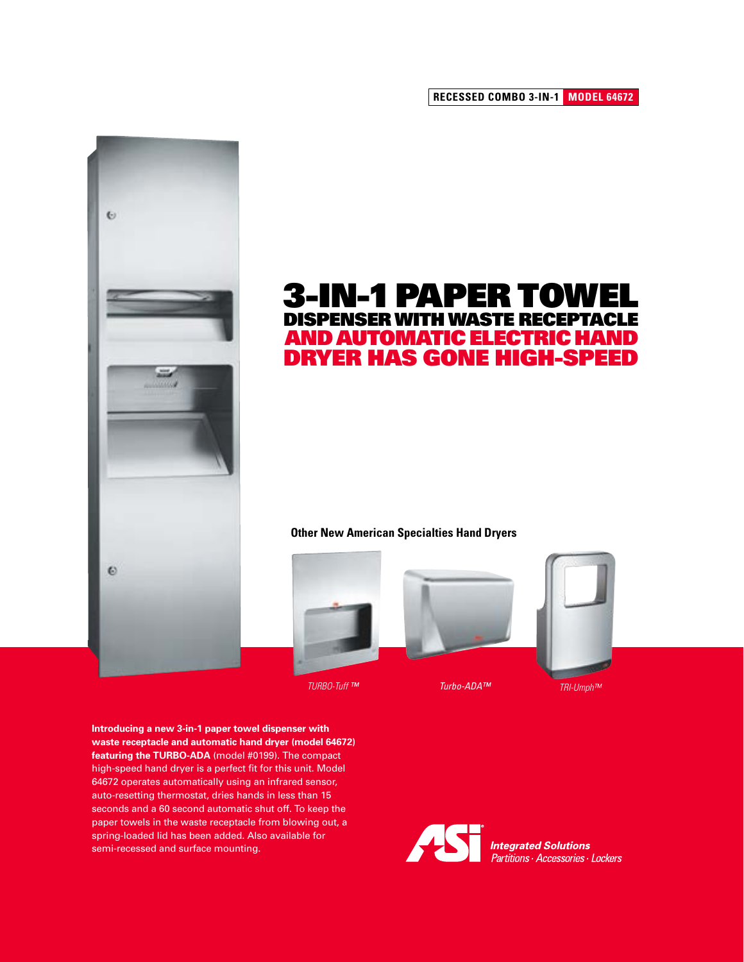**RECESSED COMBO 3-IN-1 MODEL 64672**



## **3-IN-1 PAPER TOWEL** DISPENSER WITH WASTE RECEPTACLE AND AUTOMATIC ELECTRIC HAND DRYER HAS GONE HIGH-SPEED

## **Other New American Specialties Hand Dryers**



*TURBO-Tuff ™ Turbo-ADA™ TRI-Umph™*



**Introducing a new 3-in-1 paper towel dispenser with waste receptacle and automatic hand dryer (model 64672) featuring the TURBO-ADA** (model #0199). The compact high-speed hand dryer is a perfect fit for this unit. Model 64672 operates automatically using an infrared sensor, auto-resetting thermostat, dries hands in less than 15 seconds and a 60 second automatic shut off. To keep the paper towels in the waste receptacle from blowing out, a spring-loaded lid has been added. Also available for semi-recessed and surface mounting.